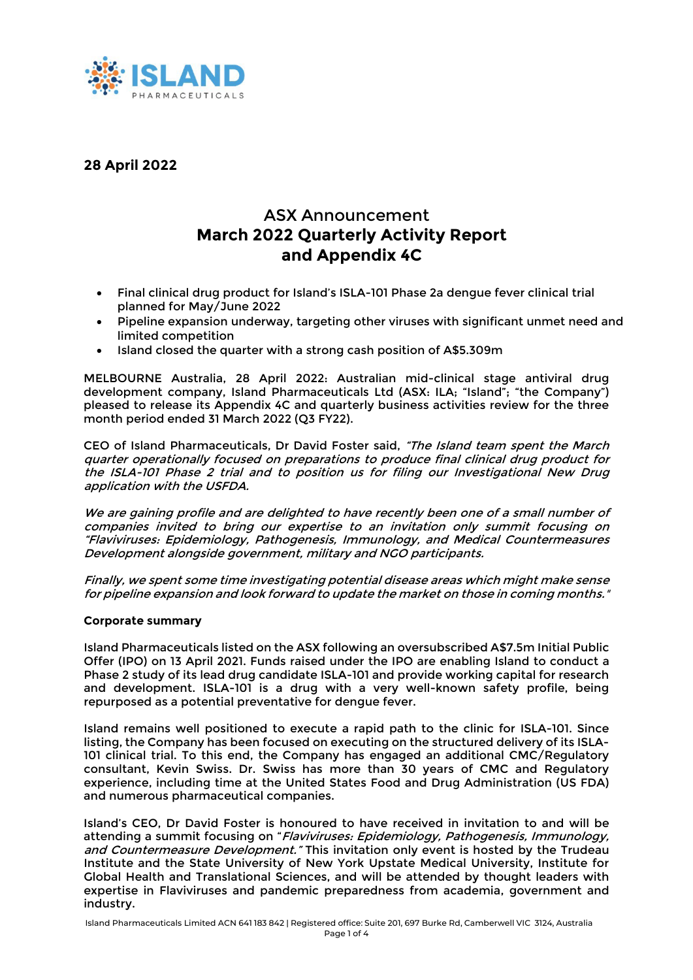

# **28 April 2022**

# ASX Announcement **March 2022 Quarterly Activity Report and Appendix 4C**

- Final clinical drug product for Island's ISLA-101 Phase 2a dengue fever clinical trial planned for May/June 2022
- Pipeline expansion underway, targeting other viruses with significant unmet need and limited competition
- Island closed the quarter with a strong cash position of A\$5.309m

MELBOURNE Australia, 28 April 2022: Australian mid-clinical stage antiviral drug development company, Island Pharmaceuticals Ltd (ASX: ILA; "Island"; "the Company") pleased to release its Appendix 4C and quarterly business activities review for the three month period ended 31 March 2022 (Q3 FY22).

CEO of Island Pharmaceuticals, Dr David Foster said, "The Island team spent the March quarter operationally focused on preparations to produce final clinical drug product for the ISLA-101 Phase 2 trial and to position us for filing our Investigational New Drug application with the USFDA.

We are gaining profile and are delighted to have recently been one of a small number of companies invited to bring our expertise to an invitation only summit focusing on "Flaviviruses: Epidemiology, Pathogenesis, Immunology, and Medical Countermeasures Development alongside government, military and NGO participants.

Finally, we spent some time investigating potential disease areas which might make sense for pipeline expansion and look forward to update the market on those in coming months."

## **Corporate summary**

Island Pharmaceuticals listed on the ASX following an oversubscribed A\$7.5m Initial Public Offer (IPO) on 13 April 2021. Funds raised under the IPO are enabling Island to conduct a Phase 2 study of its lead drug candidate ISLA-101 and provide working capital for research and development. ISLA-101 is a drug with a very well-known safety profile, being repurposed as a potential preventative for dengue fever.

Island remains well positioned to execute a rapid path to the clinic for ISLA-101. Since listing, the Company has been focused on executing on the structured delivery of its ISLA-101 clinical trial. To this end, the Company has engaged an additional CMC/Regulatory consultant, Kevin Swiss. Dr. Swiss has more than 30 years of CMC and Regulatory experience, including time at the United States Food and Drug Administration (US FDA) and numerous pharmaceutical companies.

Island's CEO, Dr David Foster is honoured to have received in invitation to and will be attending a summit focusing on "Flaviviruses: Epidemiology, Pathogenesis, Immunology, and Countermeasure Development." This invitation only event is hosted by the Trudeau Institute and the State University of New York Upstate Medical University, Institute for Global Health and Translational Sciences, and will be attended by thought leaders with expertise in Flaviviruses and pandemic preparedness from academia, government and industry.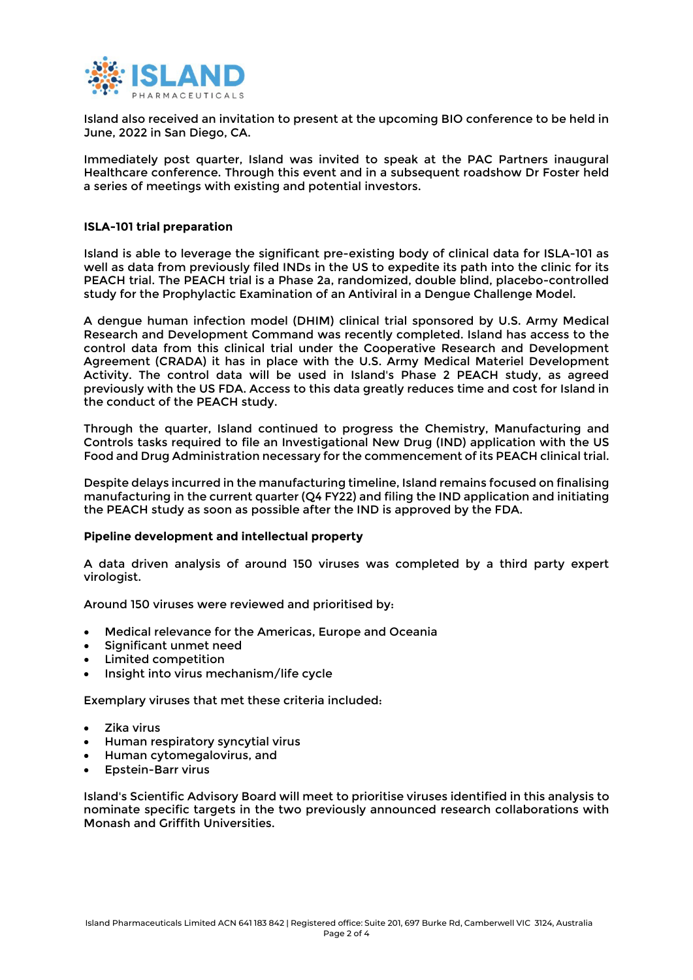

Island also received an invitation to present at the upcoming BIO conference to be held in June, 2022 in San Diego, CA.

Immediately post quarter, Island was invited to speak at the PAC Partners inaugural Healthcare conference. Through this event and in a subsequent roadshow Dr Foster held a series of meetings with existing and potential investors.

## **ISLA-101 trial preparation**

Island is able to leverage the significant pre-existing body of clinical data for ISLA-101 as well as data from previously filed INDs in the US to expedite its path into the clinic for its PEACH trial. The PEACH trial is a Phase 2a, randomized, double blind, placebo-controlled study for the Prophylactic Examination of an Antiviral in a Dengue Challenge Model.

A dengue human infection model (DHIM) clinical trial sponsored by U.S. Army Medical Research and Development Command was recently completed. Island has access to the control data from this clinical trial under the Cooperative Research and Development Agreement (CRADA) it has in place with the U.S. Army Medical Materiel Development Activity. The control data will be used in Island's Phase 2 PEACH study, as agreed previously with the US FDA. Access to this data greatly reduces time and cost for Island in the conduct of the PEACH study.

Through the quarter, Island continued to progress the Chemistry, Manufacturing and Controls tasks required to file an Investigational New Drug (IND) application with the US Food and Drug Administration necessary for the commencement of its PEACH clinical trial.

Despite delays incurred in the manufacturing timeline, Island remains focused on finalising manufacturing in the current quarter (Q4 FY22) and filing the IND application and initiating the PEACH study as soon as possible after the IND is approved by the FDA.

## **Pipeline development and intellectual property**

A data driven analysis of around 150 viruses was completed by a third party expert virologist.

Around 150 viruses were reviewed and prioritised by:

- Medical relevance for the Americas, Europe and Oceania
- Significant unmet need
- Limited competition
- Insight into virus mechanism/life cycle

Exemplary viruses that met these criteria included:

- Zika virus
- Human respiratory syncytial virus
- Human cytomegalovirus, and
- Epstein-Barr virus

Island's Scientific Advisory Board will meet to prioritise viruses identified in this analysis to nominate specific targets in the two previously announced research collaborations with Monash and Griffith Universities.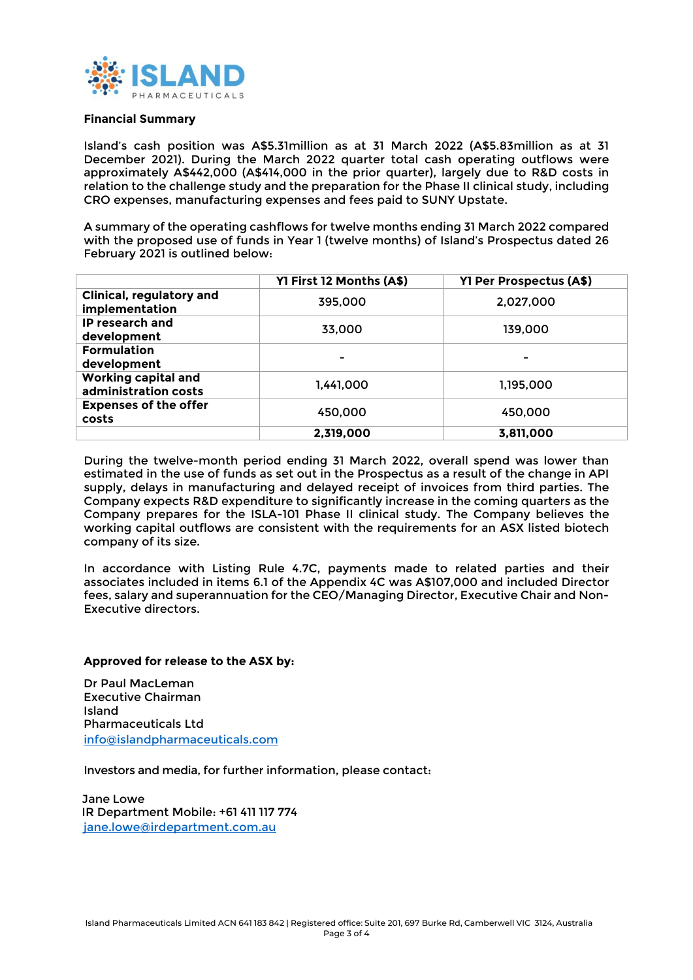

## **Financial Summary**

Island's cash position was A\$5.31million as at 31 March 2022 (A\$5.83million as at 31 December 2021). During the March 2022 quarter total cash operating outflows were approximately A\$442,000 (A\$414,000 in the prior quarter), largely due to R&D costs in relation to the challenge study and the preparation for the Phase II clinical study, including CRO expenses, manufacturing expenses and fees paid to SUNY Upstate.

A summary of the operating cashflows for twelve months ending 31 March 2022 compared with the proposed use of funds in Year 1 (twelve months) of Island's Prospectus dated 26 February 2021 is outlined below:

|                                                    | Y1 First 12 Months (A\$) | Y1 Per Prospectus (A\$) |
|----------------------------------------------------|--------------------------|-------------------------|
| Clinical, regulatory and<br>implementation         | 395.000                  | 2.027.000               |
| IP research and<br>development                     | 33.000                   | 139.000                 |
| <b>Formulation</b><br>development                  |                          |                         |
| <b>Working capital and</b><br>administration costs | 1.441.000                | 1.195.000               |
| <b>Expenses of the offer</b><br>costs              | 450.000                  | 450.000                 |
|                                                    | 2.319.000                | 3.811.000               |

During the twelve-month period ending 31 March 2022, overall spend was lower than estimated in the use of funds as set out in the Prospectus as a result of the change in API supply, delays in manufacturing and delayed receipt of invoices from third parties. The Company expects R&D expenditure to significantly increase in the coming quarters as the Company prepares for the ISLA-101 Phase II clinical study. The Company believes the working capital outflows are consistent with the requirements for an ASX listed biotech company of its size.

In accordance with Listing Rule 4.7C, payments made to related parties and their associates included in items 6.1 of the Appendix 4C was A\$107,000 and included Director fees, salary and superannuation for the CEO/Managing Director, Executive Chair and Non-Executive directors.

## **Approved for release to the ASX by:**

Dr Paul MacLeman Executive Chairman Island Pharmaceuticals Ltd [info@islandpharmaceuticals.com](mailto:info@islandpharmaceuticals.com)

Investors and media, for further information, please contact:

Jane Lowe IR Department Mobile: +61 411 117 774 [jane.lowe@irdepartment.com.au](mailto:jane.lowe@irdepartment.com.au)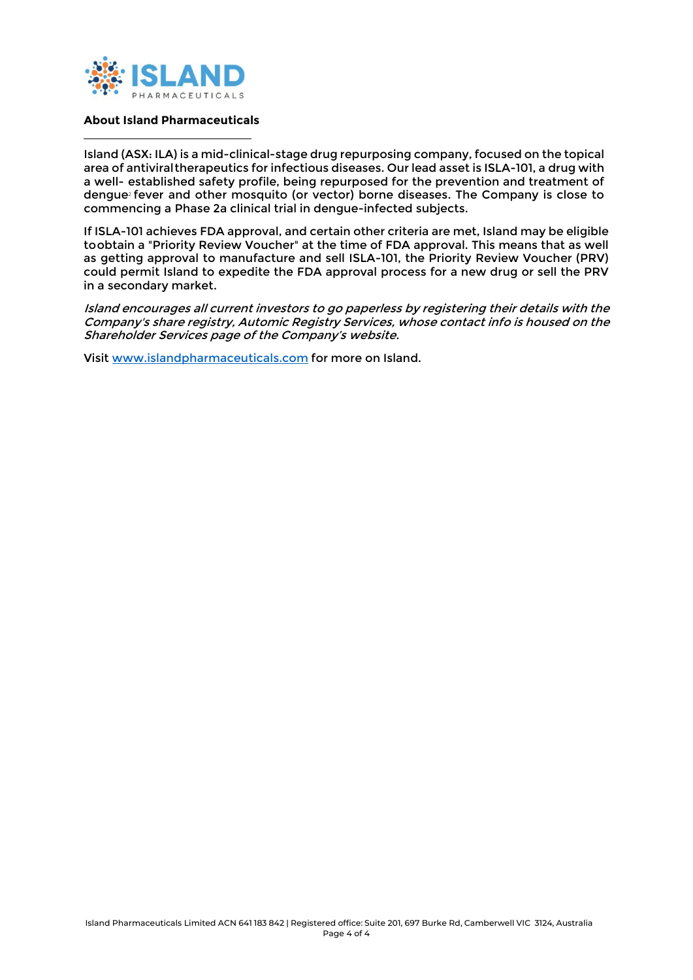

## **About Island Pharmaceuticals**

Island (ASX: ILA) is a mid-clinical-stage drug repurposing company, focused on the topical area of antiviral therapeutics for infectious diseases. Our lead asset is ISLA-101, a drug with a well- established safety profile, being repurposed for the prevention and treatment of dengue<sup>2</sup> fever and other mosquito (or vector) borne diseases. The Company is close to commencing a Phase 2a clinical trial in dengue-infected subjects.

If ISLA-101 achieves FDA approval, and certain other criteria are met, Island may be eligible to obtain a "Priority Review Voucher" at the time of FDA approval. This means that as well as getting approval to manufacture and sell ISLA-101, the Priority Review Voucher (PRV) could permit Island to expedite the FDA approval process for a new drug or sell the PRV in a secondary market.

Island encourages all current investors to go paperless by registering their details with the Company's share registry, Automic Registry Services, whose contact info is housed on the Shareholder Services page of the Company's website.

Visit [www.islandpharmaceuticals.com](http://www.islandpharmaceuticals.com/) for more on Island.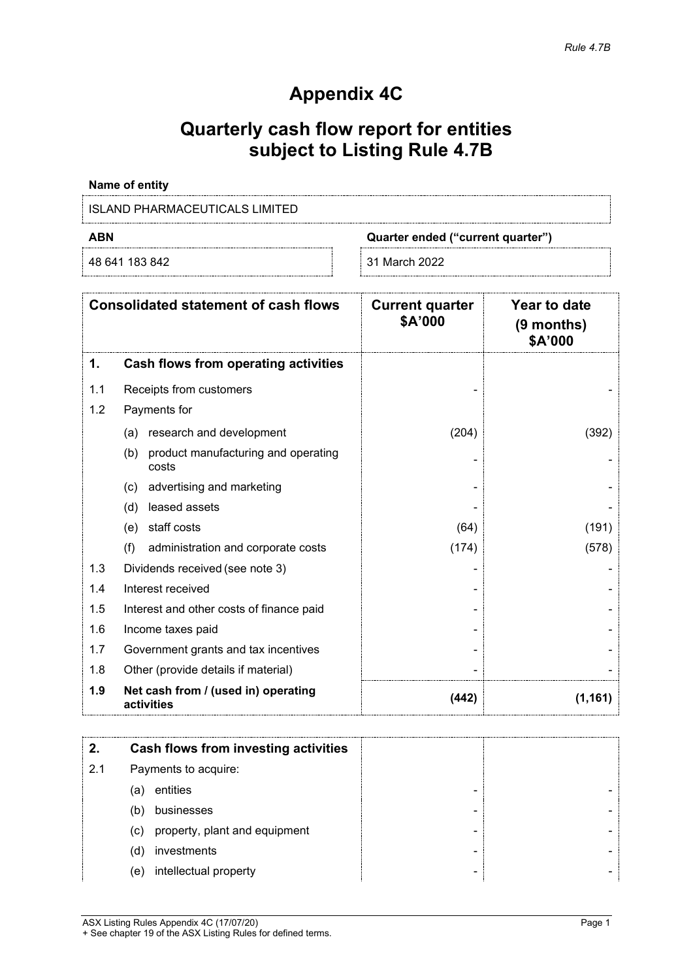# **Appendix 4C**

# **Quarterly cash flow report for entities subject to Listing Rule 4.7B**

# **Name of entity**

# ISLAND PHARMACEUTICALS LIMITED

48 641 183 842 31 March 2022

**ABN Quarter ended ("current quarter")**

|     | <b>Consolidated statement of cash flows</b>         | <b>Current quarter</b><br>\$A'000 | Year to date<br>$(9$ months)<br>\$A'000 |
|-----|-----------------------------------------------------|-----------------------------------|-----------------------------------------|
| 1.  | Cash flows from operating activities                |                                   |                                         |
| 1.1 | Receipts from customers                             |                                   |                                         |
| 1.2 | Payments for                                        |                                   |                                         |
|     | research and development<br>(a)                     | (204)                             | (392)                                   |
|     | (b)<br>product manufacturing and operating<br>costs |                                   |                                         |
|     | advertising and marketing<br>(c)                    |                                   |                                         |
|     | leased assets<br>(d)                                |                                   |                                         |
|     | staff costs<br>(e)                                  | (64)                              | (191)                                   |
|     | (f)<br>administration and corporate costs           | (174)                             | (578)                                   |
| 1.3 | Dividends received (see note 3)                     |                                   |                                         |
| 1.4 | Interest received                                   |                                   |                                         |
| 1.5 | Interest and other costs of finance paid            |                                   |                                         |
| 1.6 | Income taxes paid                                   |                                   |                                         |
| 1.7 | Government grants and tax incentives                |                                   |                                         |
| 1.8 | Other (provide details if material)                 |                                   |                                         |
| 1.9 | Net cash from / (used in) operating<br>activities   | (442)                             | (1, 161)                                |

|     | Cash flows from investing activities |   |  |
|-----|--------------------------------------|---|--|
| 2.1 | Payments to acquire:                 |   |  |
|     | entities<br>(a)                      |   |  |
|     | businesses<br>(b)                    |   |  |
|     | (c) property, plant and equipment    |   |  |
|     | investments<br>(d)                   | - |  |
|     | intellectual property<br>(e)         |   |  |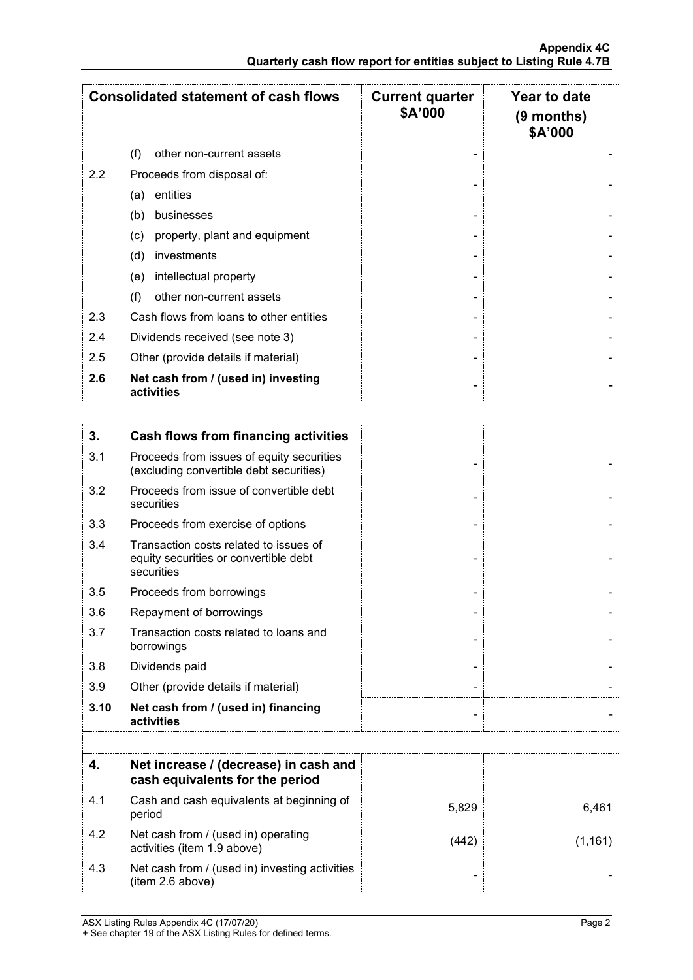|     | <b>Consolidated statement of cash flows</b>       | <b>Current quarter</b><br>\$A'000 | Year to date<br>$(9$ months)<br>\$A'000 |
|-----|---------------------------------------------------|-----------------------------------|-----------------------------------------|
|     | (f)<br>other non-current assets                   |                                   |                                         |
| 2.2 | Proceeds from disposal of:                        |                                   |                                         |
|     | entities<br>(a)                                   |                                   |                                         |
|     | (b)<br>businesses                                 |                                   |                                         |
|     | property, plant and equipment<br>(c)              |                                   |                                         |
|     | (d)<br>investments                                |                                   |                                         |
|     | intellectual property<br>(e)                      |                                   |                                         |
|     | other non-current assets<br>(f)                   |                                   |                                         |
| 2.3 | Cash flows from loans to other entities           |                                   |                                         |
| 2.4 | Dividends received (see note 3)                   |                                   |                                         |
| 2.5 | Other (provide details if material)               |                                   |                                         |
| 2.6 | Net cash from / (used in) investing<br>activities |                                   |                                         |

| 3.   | <b>Cash flows from financing activities</b>                                                   |       |          |
|------|-----------------------------------------------------------------------------------------------|-------|----------|
| 3.1  | Proceeds from issues of equity securities<br>(excluding convertible debt securities)          |       |          |
| 3.2  | Proceeds from issue of convertible debt<br>securities                                         |       |          |
| 3.3  | Proceeds from exercise of options                                                             |       |          |
| 3.4  | Transaction costs related to issues of<br>equity securities or convertible debt<br>securities |       |          |
| 3.5  | Proceeds from borrowings                                                                      |       |          |
| 3.6  | Repayment of borrowings                                                                       |       |          |
| 3.7  | Transaction costs related to loans and<br>borrowings                                          |       |          |
| 3.8  | Dividends paid                                                                                |       |          |
| 3.9  | Other (provide details if material)                                                           |       |          |
| 3.10 | Net cash from / (used in) financing<br>activities                                             |       |          |
|      |                                                                                               |       |          |
| 4.   | Net increase / (decrease) in cash and<br>cash equivalents for the period                      |       |          |
| 4.1  | Cash and cash equivalents at beginning of<br>period                                           | 5,829 | 6,461    |
| 4.2  | Net cash from / (used in) operating<br>activities (item 1.9 above)                            | (442) | (1, 161) |
| 4.3  | Net cash from / (used in) investing activities<br>(item 2.6 above)                            |       |          |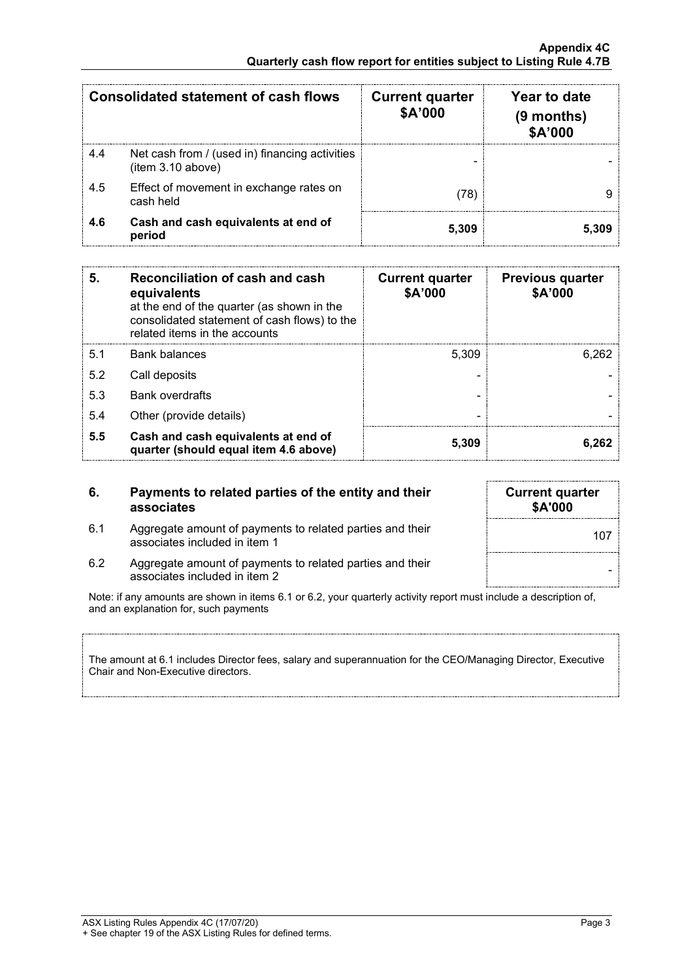|     | Consolidated statement of cash flows                                | <b>Current quarter</b><br>\$A'000 | Year to date<br>(9 months)<br><b>\$A'000</b> |
|-----|---------------------------------------------------------------------|-----------------------------------|----------------------------------------------|
| 4.4 | Net cash from / (used in) financing activities<br>(item 3.10 above) |                                   |                                              |
| 4.5 | Effect of movement in exchange rates on<br>cash held                | 78`                               |                                              |
| 46  | Cash and cash equivalents at end of<br>period                       | 5.309                             |                                              |

| 5.  | Reconciliation of cash and cash<br>equivalents<br>at the end of the quarter (as shown in the<br>consolidated statement of cash flows) to the<br>related items in the accounts | <b>Current quarter</b><br>\$A'000 | <b>Previous quarter</b><br>\$A'000 |
|-----|-------------------------------------------------------------------------------------------------------------------------------------------------------------------------------|-----------------------------------|------------------------------------|
| 5.1 | Bank balances                                                                                                                                                                 | 5.309                             | 6.262                              |
| 5.2 | Call deposits                                                                                                                                                                 |                                   |                                    |
| 5.3 | <b>Bank overdrafts</b>                                                                                                                                                        |                                   |                                    |
| 5.4 | Other (provide details)                                                                                                                                                       |                                   |                                    |
| 5.5 | Cash and cash equivalents at end of<br>quarter (should equal item 4.6 above)                                                                                                  | 5.309                             |                                    |

**6. Payments to related parties of the entity and their associates**

6.1 Aggregate amount of payments to related parties and their

- **Current quarter \$A'000** Aggregate amount of payments to related parties and their<br>associates included in item 1
- 6.2 Aggregate amount of payments to related parties and their associates included in item <sup>2</sup> -

Note: if any amounts are shown in items 6.1 or 6.2, your quarterly activity report must include a description of, and an explanation for, such payments

The amount at 6.1 includes Director fees, salary and superannuation for the CEO/Managing Director, Executive Chair and Non-Executive directors.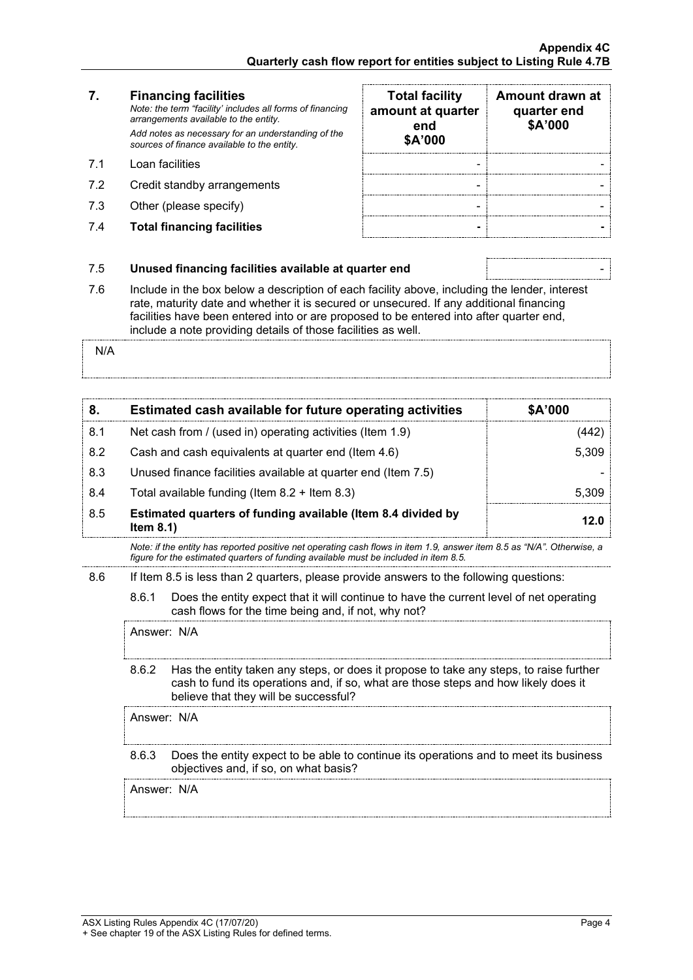# **7. Financing facilities**

- 
- 7.2 Credit standby arrangements
- 7.3 Other (please specify)
- 7.4 **Total financing facilities - -**

| 7.  | <b>Financing facilities</b><br>Note: the term "facility' includes all forms of financing<br>arrangements available to the entity.<br>Add notes as necessary for an understanding of the<br>sources of finance available to the entity. | <b>Total facility</b><br>amount at quarter<br>end<br>\$A'000 | Amount drawn at<br>quarter end<br>\$A'000 |
|-----|----------------------------------------------------------------------------------------------------------------------------------------------------------------------------------------------------------------------------------------|--------------------------------------------------------------|-------------------------------------------|
| 71  | Loan facilities                                                                                                                                                                                                                        |                                                              |                                           |
| 7.2 | Credit standby arrangements                                                                                                                                                                                                            |                                                              |                                           |
| 7.3 | Other (please specify)                                                                                                                                                                                                                 |                                                              |                                           |
| 7.4 | <b>Total financing facilities</b>                                                                                                                                                                                                      |                                                              |                                           |

## 7.5 **Unused financing facilities available at quarter end** -

7.6 Include in the box below a description of each facility above, including the lender, interest rate, maturity date and whether it is secured or unsecured. If any additional financing facilities have been entered into or are proposed to be entered into after quarter end, include a note providing details of those facilities as well.

N/A

|     | Estimated cash available for future operating activities                     | <b>\$A'000</b> |
|-----|------------------------------------------------------------------------------|----------------|
| 8.1 | Net cash from / (used in) operating activities (Item 1.9)                    |                |
| 8.2 | Cash and cash equivalents at quarter end (Item 4.6)                          | 5.309          |
| 8.3 | Unused finance facilities available at quarter end (Item 7.5)                |                |
| 84  | Total available funding (Item $8.2 +$ Item $8.3$ )                           | 5309           |
| 8.5 | Estimated quarters of funding available (Item 8.4 divided by<br>Item $8.1$ ) | 12 N           |

*Note: if the entity has reported positive net operating cash flows in item 1.9, answer item 8.5 as "N/A". Otherwise, a figure for the estimated quarters of funding available must be included in item 8.5.*

8.6 If Item 8.5 is less than 2 quarters, please provide answers to the following questions:

8.6.1 Does the entity expect that it will continue to have the current level of net operating cash flows for the time being and, if not, why not?

Answer: N/A

8.6.2 Has the entity taken any steps, or does it propose to take any steps, to raise further cash to fund its operations and, if so, what are those steps and how likely does it believe that they will be successful?

Answer: N/A

8.6.3 Does the entity expect to be able to continue its operations and to meet its business objectives and, if so, on what basis?

Answer: N/A